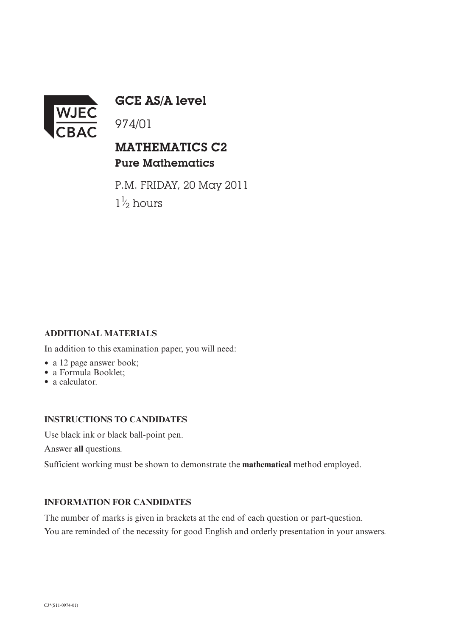

GCE AS/A level

974/01

## MATHEMATICS C2 Pure Mathematics

P.M. FRIDAY, 20 May 2011  $1\frac{1}{2}$  hours ⁄∕

### **ADDITIONAL MATERIALS**

In addition to this examination paper, you will need:

- a 12 page answer book;
- a Formula Booklet;
- a calculator.

#### **INSTRUCTIONS TO CANDIDATES**

Use black ink or black ball-point pen.

Answer **all** questions.

Sufficient working must be shown to demonstrate the **mathematical** method employed.

#### **INFORMATION FOR CANDIDATES**

The number of marks is given in brackets at the end of each question or part-question. You are reminded of the necessity for good English and orderly presentation in your answers.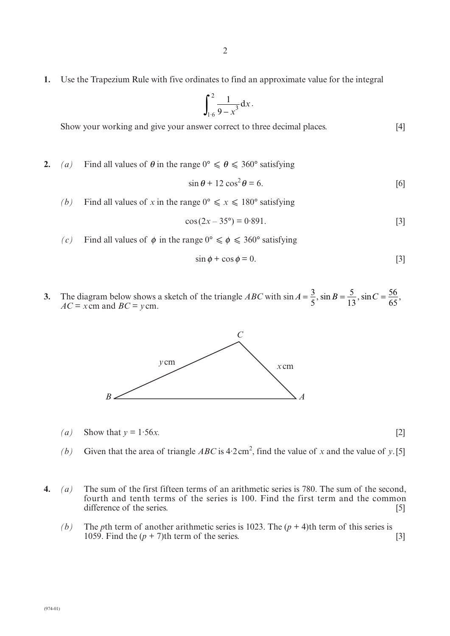**1.** Use the Trapezium Rule with five ordinates to find an approximate value for the integral

$$
\int_{1.6}^{2} \frac{1}{9-x^3} \mathrm{d}x.
$$

Show your working and give your answer correct to three decimal places. [4]

**2.** (a) Find all values of  $\theta$  in the range  $0^{\circ} \le \theta \le 360^{\circ}$  satisfying

$$
\sin \theta + 12 \cos^2 \theta = 6. \tag{6}
$$

*(b)* Find all values of *x* in the range  $0^{\circ} \le x \le 180^{\circ}$  satisfying

$$
\cos(2x - 35^{\circ}) = 0.891. \tag{3}
$$

(c) Find all values of  $\phi$  in the range  $0^{\circ} \le \phi \le 360^{\circ}$  satisfying

$$
\sin \phi + \cos \phi = 0. \tag{3}
$$

**3.** The diagram below shows a sketch of the triangle *ABC* with sin  $AC = x$ cm and  $BC = y$ cm.  $A=\frac{3}{5}$ ,  $\sin B=\frac{5}{12}$ ,  $\sin C=$ 5 5 13 ,  $\sin B = \frac{5}{13}$ ,  $\sin C = \frac{56}{65}$ ,



(*a*) Show that  $y = 1.56x$ . [2]

- (b) Given that the area of triangle  $ABC$  is  $4.2 \text{ cm}^2$ , find the value of *x* and the value of *y*.[5]
- **4.** *(a)* The sum of the first fifteen terms of an arithmetic series is 780. The sum of the second, fourth and tenth terms of the series is 100. Find the first term and the common difference of the series. [5]
	- *(b)* The *p*th term of another arithmetic series is 1023. The  $(p + 4)$ th term of this series is 1059. Find the  $(p + 7)$ th term of the series. [3]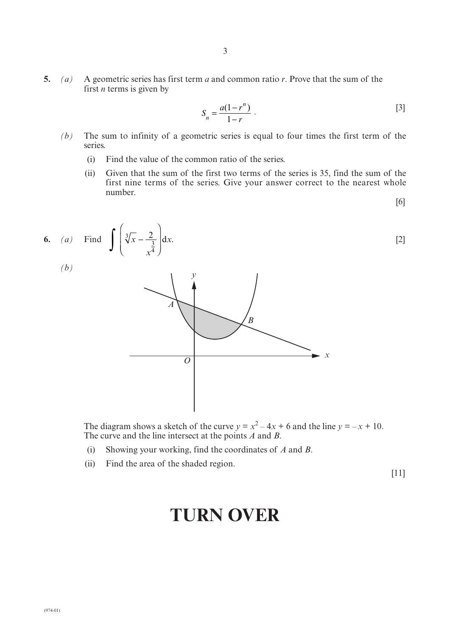**5.** *(a)* A geometric series has first term *a* and common ratio *r*. Prove that the sum of the first *n* terms is given by

$$
S_n = \frac{a(1 - r^n)}{1 - r} \ . \tag{3}
$$

- *(b)* The sum to infinity of a geometric series is equal to four times the first term of the series.
	- (i) Find the value of the common ratio of the series.
	- (ii) Given that the sum of the first two terms of the series is 35, find the sum of the first nine terms of the series. Give your answer correct to the nearest whole number.

$$
[6]
$$



The diagram shows a sketch of the curve  $y = x^2 - 4x + 6$  and the line  $y = -x + 10$ . The curve and the line intersect at the points *A* and *B*.

- (i) Showing your working, find the coordinates of *A* and *B*.
- (ii) Find the area of the shaded region.

[11]

# **TURN OVER**